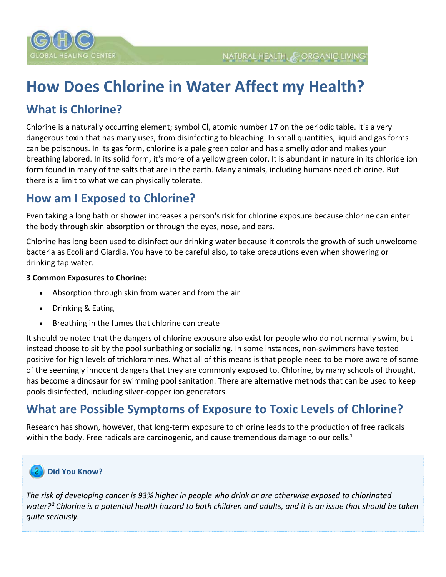

# **How Does Chlorine in Water Affect my Health?**

## **What is Chlorine?**

Chlorine is a naturally occurring element; symbol Cl, atomic number 17 on the periodic table. It's a very dangerous toxin that has many uses, from disinfecting to bleaching. In small quantities, liquid and gas forms can be poisonous. In its gas form, chlorine is a pale green color and has a smelly odor and makes your breathing labored. In its solid form, it's more of a yellow green color. It is abundant in nature in its chloride ion form found in many of the salts that are in the earth. Many animals, including humans need chlorine. But there is a limit to what we can physically tolerate.

## **How am I Exposed to Chlorine?**

Even taking a long bath or shower increases a person's risk for chlorine exposure because chlorine can enter the body through skin absorption or through the eyes, nose, and ears.

Chlorine has long been used to disinfect our drinking water because it controls the growth of such unwelcome bacteria as Ecoli and Giardia. You have to be careful also, to take precautions even when showering or drinking tap water.

### **3 Common Exposures to Chorine:**

- Absorption through skin from water and from the air
- Drinking & Eating
- Breathing in the fumes that chlorine can create

It should be noted that the dangers of chlorine exposure also exist for people who do not normally swim, but instead choose to sit by the pool sunbathing or socializing. In some instances, non‐swimmers have tested positive for high levels of trichloramines. What all of this means is that people need to be more aware of some of the seemingly innocent dangers that they are commonly exposed to. Chlorine, by many schools of thought, has become a dinosaur for swimming pool sanitation. There are alternative methods that can be used to keep pools disinfected, including silver‐copper ion generators.

## **What are Possible Symptoms of Exposure to Toxic Levels of Chlorine?**

Research has shown, however, that long-term exposure to chlorine leads to the production of free radicals within the body. Free radicals are carcinogenic, and cause tremendous damage to our cells.<sup>1</sup>

#### **Did You Know?** -21

The risk of developing cancer is 93% higher in people who drink or are otherwise exposed to chlorinated water?<sup>2</sup> Chlorine is a potential health hazard to both children and adults, and it is an issue that should be taken *quite seriously.*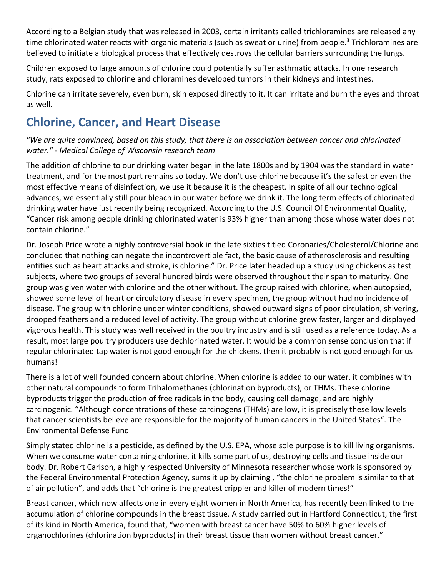According to a Belgian study that was released in 2003, certain irritants called trichloramines are released any time chlorinated water reacts with organic materials (such as sweat or urine) from people.<sup>3</sup> Trichloramines are believed to initiate a biological process that effectively destroys the cellular barriers surrounding the lungs.

Children exposed to large amounts of chlorine could potentially suffer asthmatic attacks. In one research study, rats exposed to chlorine and chloramines developed tumors in their kidneys and intestines.

Chlorine can irritate severely, even burn, skin exposed directly to it. It can irritate and burn the eyes and throat as well.

## **Chlorine, Cancer, and Heart Disease**

*"We are quite convinced, based on this study, that there is an association between cancer and chlorinated water." ‐ Medical College of Wisconsin research team*

The addition of chlorine to our drinking water began in the late 1800s and by 1904 was the standard in water treatment, and for the most part remains so today. We don't use chlorine because it's the safest or even the most effective means of disinfection, we use it because it is the cheapest. In spite of all our technological advances, we essentially still pour bleach in our water before we drink it. The long term effects of chlorinated drinking water have just recently being recognized. According to the U.S. Council Of Environmental Quality, "Cancer risk among people drinking chlorinated water is 93% higher than among those whose water does not contain chlorine."

Dr. Joseph Price wrote a highly controversial book in the late sixties titled Coronaries/Cholesterol/Chlorine and concluded that nothing can negate the incontrovertible fact, the basic cause of atherosclerosis and resulting entities such as heart attacks and stroke, is chlorine." Dr. Price later headed up a study using chickens as test subjects, where two groups of several hundred birds were observed throughout their span to maturity. One group was given water with chlorine and the other without. The group raised with chlorine, when autopsied, showed some level of heart or circulatory disease in every specimen, the group without had no incidence of disease. The group with chlorine under winter conditions, showed outward signs of poor circulation, shivering, drooped feathers and a reduced level of activity. The group without chlorine grew faster, larger and displayed vigorous health. This study was well received in the poultry industry and is still used as a reference today. As a result, most large poultry producers use dechlorinated water. It would be a common sense conclusion that if regular chlorinated tap water is not good enough for the chickens, then it probably is not good enough for us humans!

There is a lot of well founded concern about chlorine. When chlorine is added to our water, it combines with other natural compounds to form Trihalomethanes (chlorination byproducts), or THMs. These chlorine byproducts trigger the production of free radicals in the body, causing cell damage, and are highly carcinogenic. "Although concentrations of these carcinogens (THMs) are low, it is precisely these low levels that cancer scientists believe are responsible for the majority of human cancers in the United States". The Environmental Defense Fund

Simply stated chlorine is a pesticide, as defined by the U.S. EPA, whose sole purpose is to kill living organisms. When we consume water containing chlorine, it kills some part of us, destroying cells and tissue inside our body. Dr. Robert Carlson, a highly respected University of Minnesota researcher whose work is sponsored by the Federal Environmental Protection Agency, sums it up by claiming , "the chlorine problem is similar to that of air pollution", and adds that "chlorine is the greatest crippler and killer of modern times!"

Breast cancer, which now affects one in every eight women in North America, has recently been linked to the accumulation of chlorine compounds in the breast tissue. A study carried out in Hartford Connecticut, the first of its kind in North America, found that, "women with breast cancer have 50% to 60% higher levels of organochlorines (chlorination byproducts) in their breast tissue than women without breast cancer."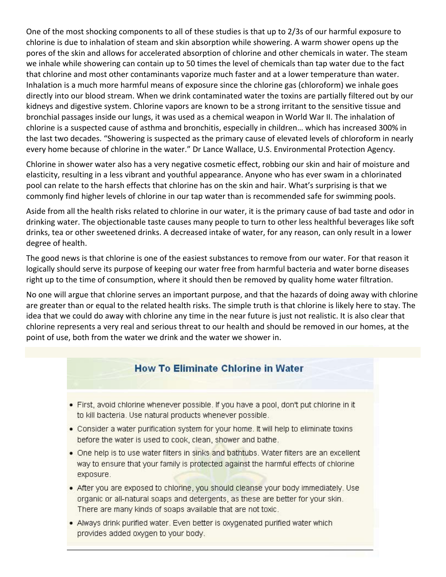One of the most shocking components to all of these studies is that up to 2/3s of our harmful exposure to chlorine is due to inhalation of steam and skin absorption while showering. A warm shower opens up the pores of the skin and allows for accelerated absorption of chlorine and other chemicals in water. The steam we inhale while showering can contain up to 50 times the level of chemicals than tap water due to the fact that chlorine and most other contaminants vaporize much faster and at a lower temperature than water. Inhalation is a much more harmful means of exposure since the chlorine gas (chloroform) we inhale goes directly into our blood stream. When we drink contaminated water the toxins are partially filtered out by our kidneys and digestive system. Chlorine vapors are known to be a strong irritant to the sensitive tissue and bronchial passages inside our lungs, it was used as a chemical weapon in World War II. The inhalation of chlorine is a suspected cause of asthma and bronchitis, especially in children… which has increased 300% in the last two decades. "Showering is suspected as the primary cause of elevated levels of chloroform in nearly every home because of chlorine in the water." Dr Lance Wallace, U.S. Environmental Protection Agency.

Chlorine in shower water also has a very negative cosmetic effect, robbing our skin and hair of moisture and elasticity, resulting in a less vibrant and youthful appearance. Anyone who has ever swam in a chlorinated pool can relate to the harsh effects that chlorine has on the skin and hair. What's surprising is that we commonly find higher levels of chlorine in our tap water than is recommended safe for swimming pools.

Aside from all the health risks related to chlorine in our water, it is the primary cause of bad taste and odor in drinking water. The objectionable taste causes many people to turn to other less healthful beverages like soft drinks, tea or other sweetened drinks. A decreased intake of water, for any reason, can only result in a lower degree of health.

The good news is that chlorine is one of the easiest substances to remove from our water. For that reason it logically should serve its purpose of keeping our water free from harmful bacteria and water borne diseases right up to the time of consumption, where it should then be removed by quality home water filtration.

No one will argue that chlorine serves an important purpose, and that the hazards of doing away with chlorine are greater than or equal to the related health risks. The simple truth is that chlorine is likely here to stay. The idea that we could do away with chlorine any time in the near future is just not realistic. It is also clear that chlorine represents a very real and serious threat to our health and should be removed in our homes, at the point of use, both from the water we drink and the water we shower in.

### **How To Eliminate Chlorine in Water**

- . First, avoid chlorine whenever possible. If you have a pool, don't put chlorine in it to kill bacteria. Use natural products whenever possible.
- Consider a water purification system for your home. It will help to eliminate toxins before the water is used to cook, clean, shower and bathe.
- . One help is to use water filters in sinks and bathtubs. Water filters are an excellent way to ensure that your family is protected against the harmful effects of chlorine exposure.
- After you are exposed to chlorine, you should cleanse your body immediately. Use organic or all-natural soaps and detergents, as these are better for your skin. There are many kinds of soaps available that are not toxic.
- Always drink purified water. Even better is oxygenated purified water which provides added oxygen to your body.